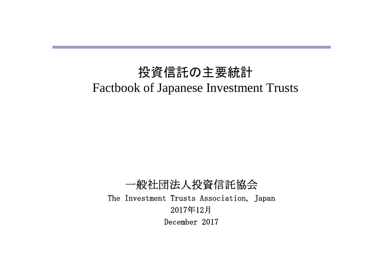# 投資信託の主要統計 Factbook of Japanese Investment Trusts

一般社団法人投資信託協会 The Investment Trusts Association, Japan 2017年12月 December 2017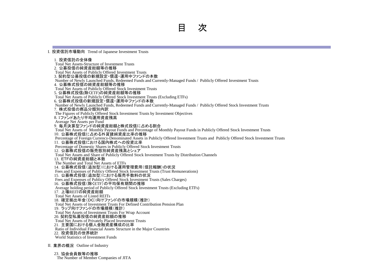Ⅰ.投資信託市場動向 Trend of Japanese Investment Trusts 1. 投資信託の全体像 Total Net Assets-Structure of Investment Trusts 2.公募投信の純資産総額等の推移 Total Net Assets of Publicly Offered Investment Trusts - 3. 契約型公募投信の新規設定・償還・運用中ファンドの本数 Number of Newly Launched Funds, Redeemed Funds and Currently-Managed Funds / Publicly Offered Investment Trusts 4.公募株式投信の純資産総額等の推移 Total Net Assets of Publicly Offered Stock Investment Trusts 5. 公募株式投信(除くETF)の純資産総額等の推移 Total Net Assets of Publicly Offered Stock Investment Trusts (Excluding ETFs) 6. 公募株式投信の新規設定・償還・運用中ファンドの本数 Number of Newly Launched Funds, Redeemed Funds and Currently-Managed Funds / Publicly Offered Stock Investment Trusts 7.株式投信の商品分類別内訳 The Figures of Publicly Offered Stock Investment Trusts by Investment Objectives 8. 1ファンドあたり平均運用資産残高 Average Net Assets per Fund 9. 毎月決算型ファンドの純資産総額と株式投信に占める割合 Total Net Assets of Monthly Payout Funds and Percentage of Monthly Payout Funds in Publicly Offered Stock Investment Trusts 10.公募株式投信に占める外貨建純資産比率の推移 Percentage of Foreign Currency-Denominated Assets in Publicly Offered Investment Trusts and Publicly Offered Stock Investment Trusts 11.公募株式投信における国内株式への投資比率 Percentage of Domestic Shares in Publicly Offered Stock Investment Trusts 12. 公募株式投信の販売態別純資産残高とシェア Total Net Assets and Share of Publicly Offered Stock Investment Trusts by Distribution Channels 13.ETFの純資産総額と本数 The Number and Total Net Assets of ETFs 14.公募株式投信(追加型)における運用管理費用(信託報酬)の状況 Fees and Expenses of Publicy Offered Stock Investment Trusts (Trust Remunerations) 15.公募株式投信(追加型)における販売手数料の状況 Fees and Expenses of Publicy Offered Stock Investment Trusts (Sales Charges) 16.公募株式投信(除くETF)の平均保有期間の推移 Average holding period of Publicly Offered Stock Investment Trusts (Excluding ETFs) 17.上場REITの純資産総額 Total Net Assets of Listed REITs 18.確定拠出年金(DC)向けファンドの市場規模(推計) Total Net Assets of Investment Trusts For Defined Contribution Pension Plan 19.ラップ向けファンドの市場規模(推計) Total Net Assets of Investment Trusts For Wrap Account 20. 契約型私募投信の純資産総額の推移 Total Net Assets of Privately Placed Investment Trusts 21. 主要国における個人金融資産構成の比率 Ratio of Individual Financial Assets Structure in the Major Countries 22. 投資信託の世界統計 World Statistics of Investment Funds

Ⅱ.業界の概況 Outline of Industry

23.協会会員数等の推移

The Number of Member Companies of JITA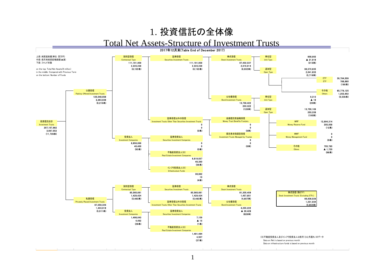### 1. 投資信託の全体像

### Total Net Assets-Structure of Investment Trusts

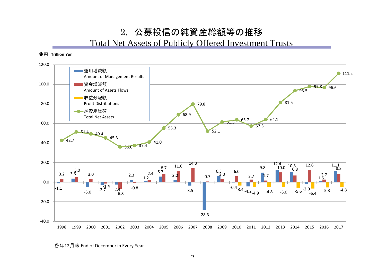### 2. 公募投信の純資産総額等の推移 Total Net Assets of Publicly Offered Investment Trusts



各年12月末 End of December in Every Year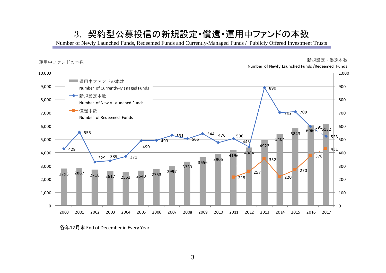### 3. 契約型公募投信の新規設定・償還・運用中ファンドの本数

Number of Newly Launched Funds, Redeemed Funds and Currently-Managed Funds / Publicly Offered Investment Trusts



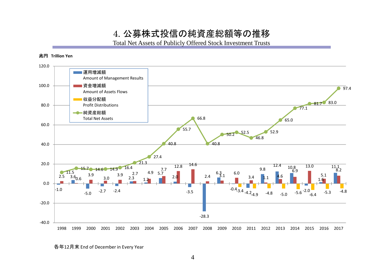4. 公募株式投信の純資産総額等の推移

Total Net Assets of Publicly Offered Stock Investment Trusts



各年12月末 End of December in Every Year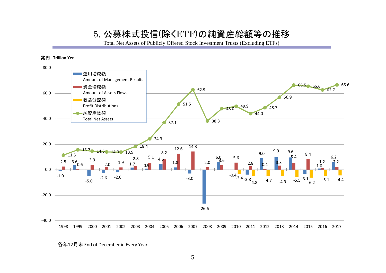### 5. 公募株式投信(除くETF)の純資産総額等の推移

Total Net Assets of Publicly Offered Stock Investment Trusts (Excluding ETFs)



各年12月末 End of December in Every Year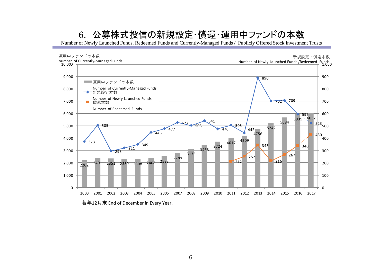## 6. 公募株式投信の新規設定・償還・運用中ファンドの本数

Number of Newly Launched Funds, Redeemed Funds and Currently-Managed Funds / Publicly Offered Stock Investment Trusts

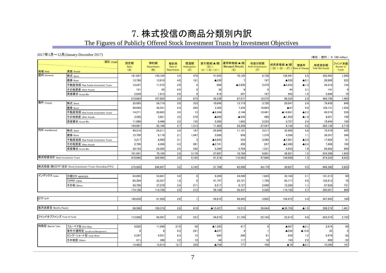## 7. 株式投信の商品分類別内訳

### The Figures of Publicly Offered Stock Investment Trusts by Investment Objectives

#### 2017年1月~12月(January‐December 2017)

|                                |                                                        |                     |                           |                               |                           |                                            |                                            |                                             |                                  |                       | (単位:億円;¥ 100 million)            |                              |
|--------------------------------|--------------------------------------------------------|---------------------|---------------------------|-------------------------------|---------------------------|--------------------------------------------|--------------------------------------------|---------------------------------------------|----------------------------------|-----------------------|----------------------------------|------------------------------|
| 地域 Area                        | 項目 ITEMS<br>資産 Assets                                  | 設定額<br>Sales<br>(A) | 解約額<br>Repurchases<br>(B) | 解約率<br>Rate of<br>Repurchases | 償還額<br>Redemptions<br>(C) | 差引増減(▲)額<br>$(D) =$<br>$(A) - ((B) + (C))$ | 運用等増減(▲)額<br><b>Managed Results</b><br>(E) | 収益分配額<br><b>Profit Distributions</b><br>(F) | 純資産増減(▲)額<br>$((D) + (E) - (F))$ | 増減率<br>Rate of Change | 純資産総額<br><b>Total Net Assets</b> | ファンド本数<br>Number of<br>Funds |
| 国内 Domestic                    | 株式 Stock                                               | 181,687             | 140,164                   | 3.4                           | 479                       | 41,043                                     | 70,185                                     | 6,738                                       | 104,491                          | 2.5                   | 395,463                          | 1,040                        |
|                                | 債券 Bond                                                | 13,769              | 13.918                    | 4.0                           | 181                       | ▲330                                       |                                            | 197                                         | ▲520                             | $\blacktriangle$ 0.1  | 28.980                           | 222                          |
|                                | 不動産投信 Real Estate Investment Trusts                    | 12,247              | 11,575                    | 2.6                           |                           | 669                                        | ▲2,830                                     | 3,470                                       | ▲5,632                           | $\blacktriangle$ 1.3  | 34,319                           | 124                          |
|                                | その他資産 Other Assets                                     | 121                 | 85                        | 6.0                           |                           | 36                                         |                                            |                                             | 44                               | 3.1                   | 141                              |                              |
|                                | 資産複合 Asset Mix                                         | 2,839               | 1,912                     | 2.9                           |                           | 918                                        | 201                                        | 167                                         | 952                              | 1.5                   | 5,896                            | 70                           |
|                                |                                                        | 210,664             | 167,655                   | 3.4                           | 673                       | 42,336                                     | 67,571                                     | 10,572                                      | 99,335                           | 2.0                   | 464,798                          | 1,460                        |
| 海外 Foreign                     | 株式 Stock                                               | 35,095              | 24,714                    | 3.0                           | 333                       | 10,048                                     | 13,719                                     | 3,720                                       | 20,047                           | 2.4                   | 79,430                           | 846                          |
|                                | 債券 Bond                                                | 40.094              | 36.531                    | 2.4                           | 262                       | 3,302                                      | 7,235                                      | 10,603                                      | A67                              | 0.0                   | 129,131                          | 1,256                        |
|                                | 不動産投信 Real Estate Investment Trusts                    | 14,271              | 20,603                    | 3.0                           | 13                        | ▲6,346                                     | 2.146                                      | 10.491                                      | ▲14,691                          | $\blacktriangle$ 2.2  | 49.574                           | 226                          |
|                                | その他資産 Other Assets                                     | 3,505               | 3,821                     | 3.5                           | 570                       | ▲886                                       | ▲536                                       | 480                                         | ▲1,902                           | $\blacktriangle$ 1.8  | 8,051                            | 198                          |
|                                | 資産複合 Asset Mix                                         | 11.996              | 6.496                     | 3.3                           | 135                       | 5.365                                      | 1.645                                      | 2.253                                       | 4.757                            | 2.4                   | 18.944                           | 190                          |
|                                |                                                        | 104,961             | 92,166                    | 2.7                           | 1,313                     | 11,483                                     | 24,208                                     | 27,547                                      | 8,144                            | 0.2                   | 285,130                          | 2,716                        |
| 内外 InterNational               | 株式 Stock                                               | 49,216              | 24,211                    | 3.4                           | 197                       | 24,809                                     | 11,101                                     | 3,217                                       | 32,692                           | 4.6                   | 75,579                           | 350                          |
|                                | 債券 Bond                                                | 15,709              | 9,176                     | 2.1                           | 1,447                     | 5,086                                      | 858                                        | 1,378                                       | 4,566                            | 1.1                   | 38,357                           | 346                          |
|                                | 不動産投信 Real Estate Investment Trusts                    | 3,217               | 8,060                     | 3.1                           |                           | ▲4,845                                     | 533                                        | 3,488                                       | ▲7,801                           | $\blacktriangle$ 3.0  | 17,984                           | 91                           |
|                                | その他資産 Other Assets                                     | 2,706               | 4,456                     | 4.3                           | 991                       | ▲2,741                                     | 498                                        | 247                                         | ▲2,490                           | $\triangle$ 2.4       | 7,486                            | 160                          |
|                                | 資産複合 Asset Mix                                         | 30,193              | 24,262                    | 2.5                           | 542                       | 5,389                                      | 5,794                                      | 1,531                                       | 9,653                            | 1.0                   | 84,992                           | 909                          |
|                                |                                                        | 101.04              | 70.165                    | 2.8                           | 3,179                     | 27,697                                     | 18,784                                     | 9.861                                       | 36,621                           | 1.5                   | 224,398                          | 1,856                        |
| 株式投信合計 Stock Investment Trusts |                                                        | 416,666             | 329.985                   | 3.0                           | 5.165                     | 81,516                                     | 110,563                                    | 47,980                                      | 144,099                          | 1.3                   | 974,325                          | 6,032                        |
|                                | 株式投信(除〈ETF)合計 Stock Investment Trusts (Excluding ETFs) | 275,828             | 248,957                   | 3.2                           | 5,165                     | 21,706                                     | 62.099                                     | 44,178                                      | 39,627                           | 0.5                   | 666,380                          | 5,852                        |
| インデックス Index                   | 日経225 NIKKEI225                                        | 63,095              | 53.891                    | 3.6                           |                           | 9,204                                      | 24,590                                     | 1.629                                       | 32,164                           | 2.1                   | 141,213                          | 90                           |
|                                | TOPIX TOPIX                                            | 65,304              | 23,557                    | 1.6                           |                           | 41,747                                     | 25,721                                     | 1,750                                       | 65,717                           | 4.5                   | 155,913                          | 79                           |
|                                | その他 Others                                             | 45,706              | 37,278                    | 3.4                           | 211                       | 8,217                                      | 6,127                                      | 2,040                                       | 12,304                           | 1.1                   | 97,924                           | 731                          |
|                                |                                                        | 174,106             | 114,726                   | 2.8                           | 212                       | 59,168                                     | 56,437                                     | 5,420                                       | 110,185                          | 2.7                   | 395,051                          | 900                          |
|                                |                                                        |                     |                           |                               |                           |                                            |                                            |                                             |                                  |                       |                                  |                              |
| ETF ETF                        |                                                        | 140,838             | 81,028                    | 2.6                           |                           | 59,810                                     | 48.465                                     | 3.802                                       | 104,472                          | 3.4                   | 307.945                          | 180                          |
| 毎月決算型 Monthly Payout           |                                                        | 94,566              | 109,374                   | 2.8                           | 619                       | ▲15,427                                    | 16,515                                     | 39,844                                      | ▲38,756                          | $\blacktriangle$ 1.0  | 306,274                          | 1,461                        |
| ファンドオブファンズ Fund of Funds       |                                                        | 113.998             | 88,597                    | 2.9                           | 527                       | 24,874                                     | 21,105                                     | 22.163                                      | 23,815                           | 0.8                   | 263,574                          | 2,165                        |
| 特殊型 Special Type               | ブル・ベア型 Bull/Bear                                       | 9.825               | 11.049                    | 27.0                          | 58                        | ▲1.283                                     | 417                                        |                                             | ▲867                             | $\blacktriangle$ 2.1  | 2.974                            | 60                           |
|                                | 条件付運用型 Conditional Management                          |                     |                           | 0.3                           | 241                       | $\triangle$ 247                            |                                            |                                             | ▲244                             | $\blacktriangle$ 13.8 | 25                               |                              |
|                                | ロング・ショート型 Long/Short                                   | 5,247               | 4,551                     | 6.3                           | 15                        | 680                                        | 240                                        | 81                                          | 839                              | 1.2                   | 6,479                            | 82                           |
|                                | その他型 Others                                            | 411                 | 306                       | 3.2                           | 10                        | 94                                         | 117                                        | 18                                          | 193                              | 2.0                   | 902                              | 22                           |
|                                |                                                        | 15,482              | 15.913                    | 12.7                          | 325                       | ▲756                                       | 777                                        | 100                                         | ▲79                              | $\blacktriangle$ 0.1  | 10,380                           | 167                          |
|                                |                                                        |                     |                           |                               |                           |                                            |                                            |                                             |                                  |                       |                                  |                              |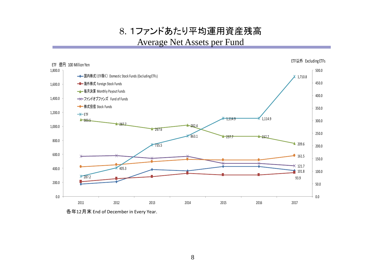8. 1ファンドあたり平均運用資産残高 Average Net Assets per Fund



各年12月末 End of December in Every Year.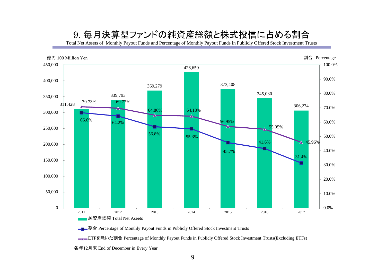## 9. 毎月決算型ファンドの純資産総額と株式投信に占める割合

Total Net Assets of Monthly Payout Funds and Percentage of Monthly Payout Funds in Publicly Offered Stock Investment Trusts



**■■■割合** Percentage of Monthly Payout Funds in Publicly Offered Stock Investment Trusts

<u>■</u>■ETFを除いた割合 Percentage of Monthly Payout Funds in Publicly Offered Stock Investment Trusts(Excluding ETFs)

各年12月末 End of December in Every Year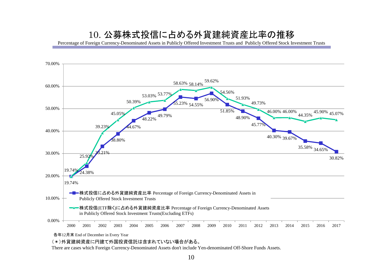### 10. 公募株式投信に占める外貨建純資産比率の推移

Percentage of Foreign Currency-Denominated Assets in Publicly Offered Investment Trusts and Publicly Offered Stock Investment Trusts



各年12月末 End of December in Every Year

(\*)外貨建純資産に円建て外国投資信託は含まれていない場合がある。

There are cases which Foreign Currency-Denominated Assets don't include Yen-denominated Off-Shore Funds Assets.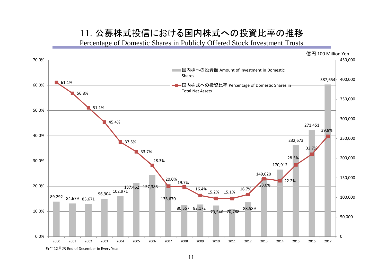### 11. 公募株式投信における国内株式への投資比率の推移

Percentage of Domestic Shares in Publicly Offered Stock Investment Trusts



11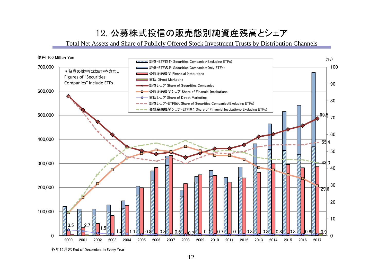# 12. 公募株式投信の販売態別純資産残高とシェア

Total Net Assets and Share of Publicly Offered Stock Investment Trusts by Distribution Channels



各年12月末 End of December in Every Year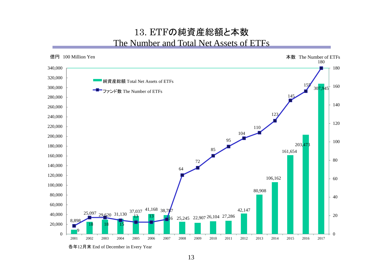### 13. ETFの純資産総額と本数 The Number and Total Net Assets of ETFs



各年12月末 End of December in Every Year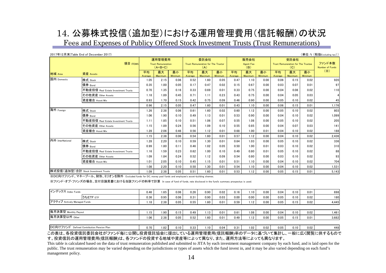# 14. 公募株式投信(追加型)における運用管理費用(信託報酬)の状況

Fees and Expenses of Publicy Offered Stock Investment Trusts (Trust Remunerations)

|                  | 2017年12月末(Table End of December 2017) |                                                  |                      |               |                                                          |               |               |                                 |                      |                      |                                                   |               |               | (単位:%(税抜Excluding tax))   |
|------------------|---------------------------------------|--------------------------------------------------|----------------------|---------------|----------------------------------------------------------|---------------|---------------|---------------------------------|----------------------|----------------------|---------------------------------------------------|---------------|---------------|---------------------------|
| 項目 ITEMS         |                                       | 運用管理費用<br><b>Trust Remuneration</b><br>$(A+B+C)$ |                      |               | 委託会社<br><b>Trust Remuneration for The Trustor</b><br>(A) |               |               | 販売会社<br><b>Agent Fee</b><br>(B) |                      |                      | 受託会社<br>Trust Remuneration for The Trustee<br>(C) |               |               | ファンド本数<br>Number of Funds |
| 地域 Area          | 資産 Assets                             | 平均<br>Average                                    | 最大<br><b>Maximum</b> | 最小<br>Minimum | 平均<br>Average                                            | 最大<br>Maximum | 最小<br>Minimum | 平均<br>Average                   | 最大<br><b>Maximum</b> | 最小<br><b>Minimum</b> | 平均<br>Average                                     | 最大<br>Maximum | 最小<br>Minimum | (X)                       |
| 国内 Domestic      | 株式 Stock                              | 1.05                                             | 2.15                 | 0.06          | 0.52                                                     | 1.60          | 0.05          | 0.47                            | 1.10                 | 0.00                 | 0.06                                              | 0.15          | 0.02          | 920                       |
|                  | 債券 Bond                               | 0.35                                             | 1.00                 | 0.05          | 0.17                                                     | 0.47          | 0.02          | 0.15                            | 0.67                 | 0.00                 | 0.03                                              | 0.07          | 0.01          | 97                        |
|                  | 不動産投信 Real Estate Investment Trusts   | 0.70                                             | 1.35                 | 0.16          | 0.33                                                     | 0.69          | 0.01          | 0.33                            | 0.75                 | 0.00                 | 0.04                                              | 0.08          | 0.02          | 110                       |
|                  | その他資産 Other Assets                    | 1.18                                             | 1.89                 | 0.45          | 0.71                                                     | 1.11          | 0.23          | 0.43                            | 0.75                 | 0.00                 | 0.04                                              | 0.05          | 0.03          |                           |
|                  | 資産複合 Asset Mix                        | 0.93                                             | 1.70                 | 0.15          | 0.42                                                     | 0.75          | 0.09          | 0.46                            | 0.90                 | 0.00                 | 0.05                                              | 0.10          | 0.02          | 45                        |
|                  |                                       | 0.96                                             | 2.15                 | 0.05          | 0.47                                                     | 1.60          | 0.01          | 0.43                            | 1.10                 | 0.00                 | 0.06                                              | 0.15          | 0.01          | 1,176                     |
| 海外 Foreign       | 株式 Stock                              | 1.26                                             | 2.38                 | 0.06          | 0.61                                                     | 1.60          | 0.02          | 0.60                            | 1.12                 | 0.00                 | 0.05                                              | 0.10          | 0.02          | 803                       |
|                  | 債券 Bond                               | 1.06                                             | 1.90                 | 0.10          | 0.49                                                     | 1.13          | 0.01          | 0.53                            | 0.90                 | 0.00                 | 0.04                                              | 0.10          | 0.02          | 1,099                     |
|                  | 不動産投信 Real Estate Investment Trusts   | 1.11                                             | 1.85                 | 0.10          | 0.51                                                     | 1.06          | 0.07          | 0.55                            | 1.08                 | 0.00                 | 0.05                                              | 0.10          | 0.02          | 205                       |
|                  | その他資産 Other Assets                    | 1.15                                             | 1.89                 | 0.24          | 0.56                                                     | 1.09          | 0.10          | 0.55                            | 0.85                 | 0.00                 | 0.04                                              | 0.07          | 0.03          | 141                       |
|                  | 資産複合 Asset Mix                        | 1.28                                             | 2.06                 | 0.46          | 0.56                                                     | 1.12          | 0.01          | 0.68                            | 1.00                 | 0.01                 | 0.04                                              | 0.10          | 0.02          | 188                       |
|                  |                                       | 1.15                                             | 2.38                 | 0.06          | 0.54                                                     | 1.60          | 0.01          | 0.57                            | 1.12                 | 0.00                 | 0.04                                              | 0.10          | 0.02          | 2,436                     |
| 内外 InterNational | 株式 Stock                              | 1.28                                             | 2.20                 | 0.10          | 0.59                                                     | 1.30          | 0.01          | 0.64                            | 1.03                 | 0.00                 | 0.05                                              | 0.10          | 0.02          | 336                       |
|                  | 債券 Bond                               | 0.99                                             | 1.80                 | 0.11          | 0.46                                                     | 1.02          | 0.05          | 0.50                            | 1.00                 | 0.01                 | 0.03                                              | 0.10          | 0.02          | 310                       |
|                  | 不動産投信 Real Estate Investment Trusts   | 1.16                                             | 1.59                 | 0.23          | 0.62                                                     | 1.00          | 0.10          | 0.49                            | 0.80                 | 0.01                 | 0.05                                              | 0.10          | 0.02          | 88                        |
|                  | その他資産 Other Assets                    | 1.09                                             | 1.84                 | 0.24          | 0.52                                                     | 1.12          | 0.09          | 0.54                            | 0.80                 | 0.00                 | 0.03                                              | 0.10          | 0.02          | 93                        |
|                  | 資産複合 Asset Mix                        | 1.01                                             | 2.05                 | 0.10          | 0.45                                                     | 1.15          | 0.01          | 0.51                            | 1.10                 | 0.00                 | 0.04                                              | 0.10          | 0.02          | 704                       |
|                  |                                       | 1.08                                             | 2.20                 | 0.10          | 0.50                                                     | 1.30          | 0.01          | 0.54                            | 1.10                 | 0.00                 | 0.04                                              | 0.10          | 0.02          | 1,531                     |
|                  | 株式投信(追加型)合計 Stock Investment Trusts   | 1.09                                             | 2.38                 | 0.05          | 0.51                                                     | 1.60          | 0.01          | 0.53                            | 1.12                 | 0.00                 | 0.05                                              | 0.15          | 0.01          | 5,143                     |

※DC向けファンド、マネープール、財形、ミリオンを除外 Excluded funds for DC, money pool funds and employee's asset-building shemes.

毎月決算型以外 Other

※ファンド・オブ・ファンズの場合、交付目論見書における当該ファンドの料率で計算 In case of fund of funds, rate disclosed in the fund's summary prospectus is used.

| インデックス Index Funds           | 0.46           | 1.65 | 0.06 | 0.26 | 0.90 | 0.02 | 0.16 | 1.10 | 0.00 | 0.04 | 0.10 | 0.01 | 698   |
|------------------------------|----------------|------|------|------|------|------|------|------|------|------|------|------|-------|
| うちETF ETF                    | 0.36           | 0.95 | 0.06 | 0.31 | 0.90 | 0.03 | 0.00 | 0.00 | 0.00 | 0.05 | 0.10 | 0.02 | 180   |
| アクティブ Actively Managed Funds | $^{\circ}$ .18 | 2.38 | 0.05 | 0.55 | 1.60 | 0.01 | 0.59 | 1.12 | 0.00 | 0.05 | 0.15 | 0.02 | 4.445 |
|                              |                |      |      |      |      |      |      |      |      |      |      |      |       |
| 毎月決算型 Monthly Payout         | 1.15           | 1.90 | 0.15 | 0.49 | 1.13 | 0.01 | 0.61 | 0.08 | 0.00 | 0.04 | 0.10 | 0.02 | .461  |

| 0.04<br>0.05<br>0.02<br>0.02<br>0.33<br>0.31<br>.02<br>.82<br>).10<br>0.10<br>10،<br><b>Defined Contribution i</b><br><b>Pension Plar</b><br>$\overline{\phantom{a}}$ |  |  |  |  |  |  |  |  |  |  |      |
|-----------------------------------------------------------------------------------------------------------------------------------------------------------------------|--|--|--|--|--|--|--|--|--|--|------|
| DC向けフ:                                                                                                                                                                |  |  |  |  |  |  |  |  |  |  | 1481 |

1.06 2.38 0.05 0.52 1.60 0.01 0.49 1.12 0.00 0.05 0.15 0.01 3,682

この表は、各投資信託委託会社がファンド毎に公開し投資信託協会に提出している運用管理費用(信託報酬)率のデータに基づいて集計し、一般に広く閲覧に供するもので す。投資信託の運用管理費用(信託報酬)は、各ファンドの投資する地域や資産等によって異なり、また、運用方法等によっても異なります。

This table is calculated based on the data of trust remuneration published and submitted to JITA by each investment management company by each fund, and is laid open for the public. The trust remuneration may be varied depending on the jurisdictions or types of assets which the fund invest in, and it may be also varied depending on each fund's management policy.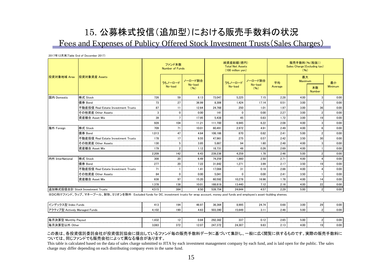## 15. 公募株式投信(追加型)における販売手数料の状況 Fees and Expenses of Publicy Offered Stock Investment Trusts(Sales Charges)

2017年12月末(Table End of December 2017)

|                  |                                     |       | ファンド本数<br><b>Number of Funds</b> |                 |         | 純資産総額(億円)<br><b>Total Net Assets</b><br>(100 million yen) |                 | 販売手数料(%(税抜))<br>Sales Charge (Excluding tax)<br>(96) |                      |                     |                    |  |
|------------------|-------------------------------------|-------|----------------------------------|-----------------|---------|-----------------------------------------------------------|-----------------|------------------------------------------------------|----------------------|---------------------|--------------------|--|
| 投資対象地域 Area      | 投資対象資産 Assets                       |       | うちノーロード                          | ノーロード割合         |         | うちノーロード                                                   | ノーロード割合         | 平均                                                   | 最大<br><b>Maximum</b> |                     | 最小                 |  |
|                  |                                     |       | No-load                          | No-load<br>(96) |         | No-load                                                   | No-load<br>(96) | Average                                              |                      | 本数<br><b>Number</b> | Minimum            |  |
| 国内 Domestic      | 株式 Stock                            | 726   | 59                               | 8.13            | 73.047  | 5.225                                                     | 7.15            | 2.28                                                 | 4.00                 |                     | 0.00               |  |
|                  | 債券 Bond                             | 73    | 27                               | 36.99           | 8.306   | 1.424                                                     | 17.14           | 0.51                                                 | 3.00                 |                     | 0.00<br>an an an a |  |
|                  | 不動産投信 Real Estate Investment Trusts | 87    | 11                               | 12.64           | 24.768  | 250                                                       | 1.01            | 1.97                                                 | 3.00                 | 36                  | 0.00               |  |
|                  | その他資産 Other Assets                  | 3     | $\Omega$                         | 0.00            | 141     | $\Omega$                                                  | 0.00            | 2.27                                                 | 3.00                 |                     | 0.00               |  |
|                  | 資産複合 Asset Mix                      | 39    |                                  | 17.95           | 5.438   | 45                                                        | 0.83            | 1.72                                                 | 3.00                 |                     | 0.00               |  |
|                  |                                     | 928   | 104                              | 11.21           | 111.700 | 6.945                                                     | 6.22            | 2.08                                                 | 4.00                 |                     | 0.00               |  |
| 海外 Foreign       | 株式 Stock                            | 709   | 71                               | 10.01           | 60.491  | 2.972                                                     | 4.91            | 2.49                                                 | 4.00                 |                     | 0.00               |  |
|                  | 債券 Bond                             | 1.013 | 47                               | 4.64            | 106.166 | 870                                                       | 0.82            | 2.41                                                 | 5.00                 |                     | 0.00               |  |
|                  | 不動産投信 Real Estate Investment Trusts | 178   | 17                               | 9.55            | 47.961  | 275                                                       | 0.57            | 2.42                                                 | 3.50                 | 30                  | 0.00               |  |
|                  | その他資産 Other Assets                  | 130   | 5                                | 3.85            | 5.887   | 94                                                        | 1.60            | 2.48                                                 | 4.00                 |                     | 0.00               |  |
|                  | 資産複合 Asset Mix                      | 179   | $\overline{2}$                   | 1.12            | 18.731  | 48                                                        | 0.26            | 2.69                                                 | 4.00                 |                     | 0.00               |  |
|                  |                                     | 2.209 | 142                              | 6.43            | 239.236 | 4.259                                                     | 1.78            | 2.46                                                 | 5.00                 |                     | 0.00               |  |
| 内外 InterNational | 株式 Stock                            | 308   | 20                               | 6.49            | 74.259  | 1.860                                                     | 2.50            | 2.71                                                 | 4.00                 |                     | 0.00<br>-----      |  |
|                  | 債券 Bond                             | 277   | 20                               | 7.22            | 31.842  | 1,271                                                     | 3.99            | 2.17                                                 | 3.50                 |                     | 0.00<br>-----      |  |
|                  | 不動産投信 Real Estate Investment Trusts | 71    |                                  | 1.41            | 17.084  | 31                                                        | 0.18            | 2.86                                                 | 4.00                 |                     | 0.00               |  |
|                  | その他資産 Other Assets                  | 84    | n                                | 0.00            | 5.041   | n                                                         | 0.00            | 2.41                                                 | 3.50                 |                     | 0.00               |  |
|                  | 資産複合 Asset Mix                      | 638   | 97                               | 15.20           | 60.592  | 10.278                                                    | 16.96           | 1.78                                                 | 4.00                 |                     | 0.00               |  |
|                  |                                     | 1.378 | 138                              | 10.01           | 188.819 | 13.440                                                    | 7.12            | 2.16                                                 | 4.00                 | 22                  | 0.00               |  |
|                  | 追加株式投信合計 Stock Investment Trusts    | 4.515 | 384                              | 8.50            | 539.754 | 24,644                                                    | 4.57            | 2.29                                                 | 5.00                 |                     | 0.00               |  |

※DC向けファンド、ラップ、マネープール、財形、ミリオンを除外 Excluded funds for DC, investment trusts for wrap account, money pool funds and employee's asset-building shemes.

| インデックス型 Index Funds           | 413   | 194 | 46.97 | 36.364  | 8.995  | 24.74 | 0.68<br>-----            | 3.00<br>-------- | 0.00 |
|-------------------------------|-------|-----|-------|---------|--------|-------|--------------------------|------------------|------|
| アクティブ型 Actively Managed Funds | 4.102 | 190 | 4.63  | 503.390 | 15.649 | ບ.⊧   | 2.46                     | 5.00             | 0.00 |
|                               |       |     |       |         |        |       |                          |                  |      |
| 毎月決算型 Monthly Payout          | .432  | 121 | 0.84  | 292.382 | 337    | 0.12  | 2.65                     | 5.00             | 0.00 |
| 每月決算型以外 Other                 | 3.083 | 372 | 12.07 | 247.372 | 24.307 | 9.83  | $\overline{a}$<br>: 2.13 | 4.00             | 0.00 |

#### この表は、各投資信託委託会社が投資信託協会に提出しているファンド毎の販売手数料データに基づいて集計し、一般に広く閲覧に供するものです。実際の販売手数料に ついては、同じファンドでも販売会社によって異なる場合があります。

This table is calculated based on the data of sales charge submitted to JITA by each investment management company by each fund, and is laid open for the public. The sales charge may differ depending on each distributing company even in the same fund.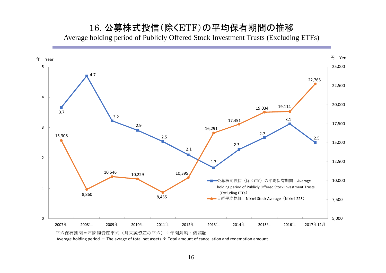### 16. 公募株式投信(除くETF)の平均保有期間の推移 Average holding period of Publicly Offered Stock Investment Trusts (Excluding ETFs)



Average holding period = The avrage of total net assets  $\div$  Total amount of cancellation and redemption amount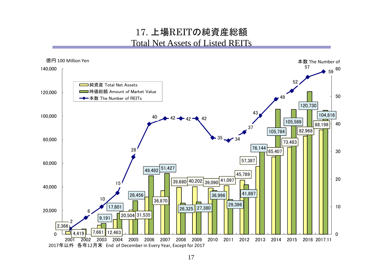## 17. 上場REITの純資産総額 Total Net Assets of Listed REITs

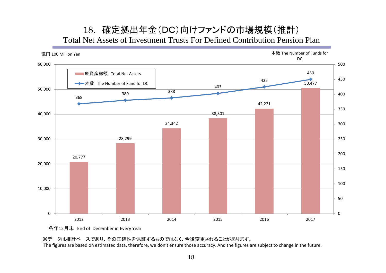### 18. 確定拠出年金(DC)向けファンドの市場規模(推計) Total Net Assets of Investment Trusts For Defined Contribution Pension Plan



各年12月末 End of December in Every Year

※データは推計ベースであり、その正確性を保証するものではなく、今後変更されることがあります。

The figures are based on estimated data, therefore, we don't ensure those accuracy. And the figures are subject to change in the future.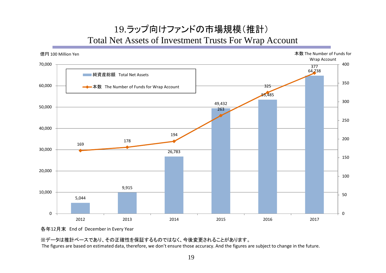# 19.ラップ向けファンドの市場規模(推計) Total Net Assets of Investment Trusts For Wrap Account



各年12月末 End of December in Every Year

#### ※データは推計ベースであり、その正確性を保証するものではなく、今後変更されることがあります。

The figures are based on estimated data, therefore, we don't ensure those accuracy. And the figures are subject to change in the future.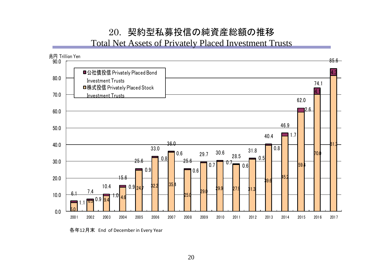# 20. 契約型私募投信の純資産総額の推移

Total Net Assets of Privately Placed Investment Trusts



各年12月末 End of December in Every Year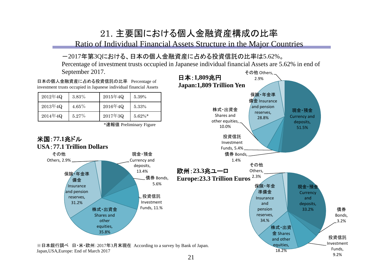# 21. 主要国における個人金融資産構成の比率

Ratio of Individual Financial Assets Structure in the Major Countries

### -2017年第3Qにおける、日本の個人金融資産に占める投資信託の比率は5.62%。

その他 Others, Percentage of investment trusts occupied in Japanese individual financial Assets are 5.62% in end of September 2017.



9.2%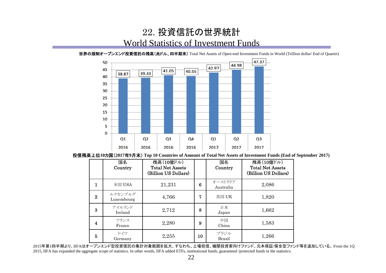## 22. 投資信託の世界統計 World Statistics of Investment Funds



世界の規制オープンエンド投資信託の残高(兆ドル、四半期末) Total Net Assets of Open-end Investment Funds in World (Trillion dollar/ End of Quarter)

投信残高上位**10**カ国(**2017**年**9**月末) **Top 10 Countries of Amount of Total Net Assets of Investment Funds (End of September 2017)**

|          | 国名<br>Country         | 残高(10億ドル)<br><b>Total Net Assets</b><br>(Billion US Dollars) |    | 国名<br>Country         | 残高(10億ドル)<br><b>Total Net Assets</b><br>(Billion US Dollars) |
|----------|-----------------------|--------------------------------------------------------------|----|-----------------------|--------------------------------------------------------------|
| 1        | 米国 USA                | 21,231                                                       | 6  | オーストラリア<br>Australia  | 2,086                                                        |
| $\bf{2}$ | ルクセンブルグ<br>Luxembourg | 4,766                                                        | 7  | 英国 UK                 | 1,820                                                        |
| 3        | アイルランド<br>Ireland     | 2,712                                                        | 8  | 日本<br>Japan           | 1,662                                                        |
| 4        | フランス<br>France        | 2,280                                                        | 9  | 中国<br>China           | 1,583                                                        |
| 5        | ドイツ<br>Germany        | 2,255                                                        | 10 | ブラジル<br><b>Brazil</b> | 1,266                                                        |

2015年第1四半期より、IIFAはオープンエンド型投資信託の集計対象範囲を拡大、すなわち、上場投信、機関投資家向けファンド、元本保証/保全型ファンド等を追加している。 From the 1Q 2015, IIFA has expanded the aggregate scope of statistics. In other words, IIFA added ETFs, institutional funds, guaranteed /protected funds in the statistics.